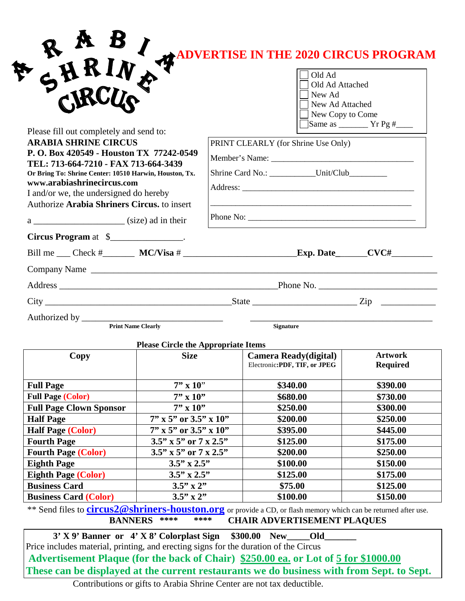|                                                                                                                                                                                                                                                                                                                                                                         |                                                           |                                                                                       | <b>ADVERTISE IN THE 2020 CIRCUS PROGRAM</b><br>Old Ad<br>Old Ad Attached<br>New Ad<br>New Ad Attached<br>New Copy to Come |                      |                      |  |  |  |  |
|-------------------------------------------------------------------------------------------------------------------------------------------------------------------------------------------------------------------------------------------------------------------------------------------------------------------------------------------------------------------------|-----------------------------------------------------------|---------------------------------------------------------------------------------------|---------------------------------------------------------------------------------------------------------------------------|----------------------|----------------------|--|--|--|--|
| Please fill out completely and send to:<br><b>ARABIA SHRINE CIRCUS</b><br>P.O. Box 420549 - Houston TX 77242-0549<br>TEL: 713-664-7210 - FAX 713-664-3439<br>Or Bring To: Shrine Center: 10510 Harwin, Houston, Tx.<br>www.arabiashrinecircus.com<br>I and/or we, the undersigned do hereby<br>Authorize Arabia Shriners Circus. to insert<br>$a \_$ (size) ad in their |                                                           | PRINT CLEARLY (for Shrine Use Only)<br>Shrine Card No.: ___________Unit/Club_________ |                                                                                                                           |                      |                      |  |  |  |  |
|                                                                                                                                                                                                                                                                                                                                                                         |                                                           |                                                                                       |                                                                                                                           |                      | Circus Program at \$ |  |  |  |  |
|                                                                                                                                                                                                                                                                                                                                                                         |                                                           |                                                                                       |                                                                                                                           |                      |                      |  |  |  |  |
|                                                                                                                                                                                                                                                                                                                                                                         |                                                           |                                                                                       |                                                                                                                           |                      | Company Name         |  |  |  |  |
|                                                                                                                                                                                                                                                                                                                                                                         |                                                           |                                                                                       |                                                                                                                           |                      |                      |  |  |  |  |
|                                                                                                                                                                                                                                                                                                                                                                         |                                                           |                                                                                       |                                                                                                                           |                      |                      |  |  |  |  |
|                                                                                                                                                                                                                                                                                                                                                                         |                                                           |                                                                                       |                                                                                                                           |                      |                      |  |  |  |  |
|                                                                                                                                                                                                                                                                                                                                                                         |                                                           |                                                                                       | <b>Signature</b>                                                                                                          |                      |                      |  |  |  |  |
|                                                                                                                                                                                                                                                                                                                                                                         |                                                           |                                                                                       |                                                                                                                           |                      |                      |  |  |  |  |
| Copy                                                                                                                                                                                                                                                                                                                                                                    | <b>Please Circle the Appropriate Items</b><br><b>Size</b> |                                                                                       | Camera Ready(digital)                                                                                                     | <b>Artwork</b>       |                      |  |  |  |  |
|                                                                                                                                                                                                                                                                                                                                                                         |                                                           |                                                                                       | Electronic:PDF, TIF, or JPEG                                                                                              | <b>Required</b>      |                      |  |  |  |  |
| <b>Full Page</b>                                                                                                                                                                                                                                                                                                                                                        | $7'' \times 10''$                                         |                                                                                       | \$340.00                                                                                                                  | \$390.00             |                      |  |  |  |  |
| <b>Full Page (Color)</b>                                                                                                                                                                                                                                                                                                                                                | $7'' \times 10''$                                         |                                                                                       | \$680.00                                                                                                                  | \$730.00             |                      |  |  |  |  |
| <b>Full Page Clown Sponsor</b>                                                                                                                                                                                                                                                                                                                                          | $7'' \times 10''$                                         |                                                                                       | \$250.00                                                                                                                  | \$300.00             |                      |  |  |  |  |
| <b>Half Page</b>                                                                                                                                                                                                                                                                                                                                                        | $7''$ x 5" or 3.5" x 10"                                  |                                                                                       | \$200.00                                                                                                                  | \$250.00             |                      |  |  |  |  |
| <b>Half Page (Color)</b>                                                                                                                                                                                                                                                                                                                                                | $7''$ x 5" or 3.5" x 10"                                  |                                                                                       | \$395.00                                                                                                                  | \$445.00             |                      |  |  |  |  |
| <b>Fourth Page</b>                                                                                                                                                                                                                                                                                                                                                      | $3.5$ " x 5" or 7 x 2.5"                                  |                                                                                       | \$125.00                                                                                                                  | \$175.00             |                      |  |  |  |  |
| <b>Fourth Page (Color)</b>                                                                                                                                                                                                                                                                                                                                              | $3.5''$ x 5" or 7 x 2.5"                                  |                                                                                       | \$200.00                                                                                                                  | \$250.00             |                      |  |  |  |  |
| <b>Eighth Page</b>                                                                                                                                                                                                                                                                                                                                                      | $3.5$ " x $2.5$ "                                         |                                                                                       | \$100.00                                                                                                                  | \$150.00             |                      |  |  |  |  |
| <b>Eighth Page (Color)</b>                                                                                                                                                                                                                                                                                                                                              | $3.5$ " x $2.5$ "                                         |                                                                                       | \$125.00                                                                                                                  | \$175.00             |                      |  |  |  |  |
|                                                                                                                                                                                                                                                                                                                                                                         |                                                           |                                                                                       |                                                                                                                           |                      |                      |  |  |  |  |
| <b>Business Card</b><br><b>Business Card (Color)</b>                                                                                                                                                                                                                                                                                                                    | $3.5" \times 2"$<br>$3.5''$ x 2"                          |                                                                                       | \$75.00<br>\$100.00                                                                                                       | \$125.00<br>\$150.00 |                      |  |  |  |  |

**3' X 9' Banner or 4' X 8' Colorplast Sign \$300.00 New\_\_\_\_\_Old\_\_\_\_\_\_\_** Price includes material, printing, and erecting signs for the duration of the Circus **Advertisement Plaque (for the back of Chair) \$250.00 ea. or Lot of 5 for \$1000.00 These can be displayed at the current restaurants we do business with from Sept. to Sept.**

Contributions or gifts to Arabia Shrine Center are not tax deductible.